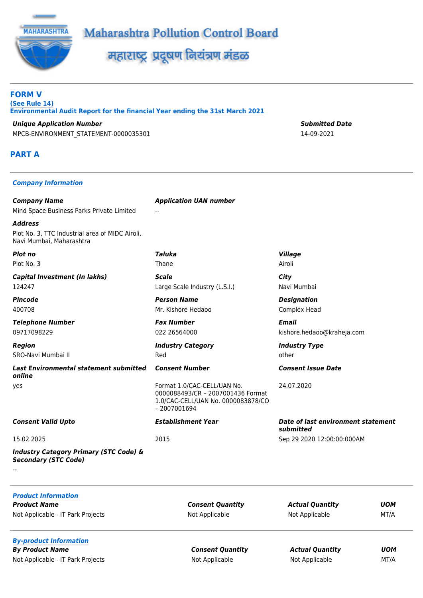



महाराष्ट्र प्रदूषण नियंत्रण मंडळ

**FORM V (See Rule 14) Environmental Audit Report for the financial Year ending the 31st March 2021**

*Unique Application Number Submitted Date* MPCB-ENVIRONMENT\_STATEMENT-0000035301 14-09-2021

# **PART A**

#### *Company Information*

*Company Name Application UAN number* Mind Space Business Parks Private Limited

*Address* Plot No. 3, TTC Industrial area of MIDC Airoli, Navi Mumbai, Maharashtra

Plot No. 3 Thane Airoli

*Capital Investment (In lakhs) Scale City* 124247 Large Scale Industry (L.S.I.) Navi Mumbai

*Telephone Number Fax Number Email*

SRO-Navi Mumbai II and other control of the control of the control of the control of the control of the control of the control of the control of the control of the control of the control of the control of the control of th

*Last Environmental statement submitted online* yes Format 1.0/CAC-CELL/UAN No.

--

*Industry Category Primary (STC Code) & Secondary (STC Code)*

*Plot no Taluka Village*

*Pincode Person Name Designation* 400708 Mr. Kishore Hedaoo Complex Head

*Region Industry Category Industry Type*

0000088493/CR – 2007001436 Format 1.0/CAC-CELL/UAN No. 0000083878/CO – 2007001694

09717098229 022 26564000 kishore.hedaoo@kraheja.com

*Consent Number Consent Issue Date*

24.07.2020

*Consent Valid Upto Establishment Year Date of last environment statement submitted* 15.02.2025 2015 Sep 29 2020 12:00:00:000AM

| <b>Product Information</b><br><b>Product Name</b><br>Not Applicable - IT Park Projects       | <b>Consent Quantity</b><br>Not Applicable | <b>Actual Quantity</b><br>Not Applicable | <b>UOM</b><br>MT/A |
|----------------------------------------------------------------------------------------------|-------------------------------------------|------------------------------------------|--------------------|
| <b>By-product Information</b><br><b>By Product Name</b><br>Not Applicable - IT Park Projects | <b>Consent Quantity</b><br>Not Applicable | <b>Actual Quantity</b><br>Not Applicable | <b>UOM</b><br>MT/A |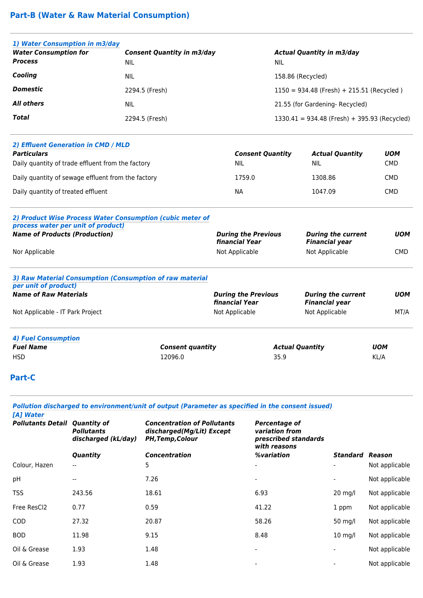# **Part-B (Water & Raw Material Consumption)**

| 1) Water Consumption in m3/day |                                   |                                                |
|--------------------------------|-----------------------------------|------------------------------------------------|
| <b>Water Consumption for</b>   | <b>Consent Quantity in m3/day</b> | <b>Actual Quantity in m3/day</b>               |
| <b>Process</b>                 | NIL                               | NIL                                            |
| Cooling                        | NIL                               | 158.86 (Recycled)                              |
| <b>Domestic</b>                | 2294.5 (Fresh)                    | $1150 = 934.48$ (Fresh) + 215.51 (Recycled)    |
| <b>All others</b>              | <b>NIL</b>                        | 21.55 (for Gardening- Recycled)                |
| Total                          | 2294.5 (Fresh)                    | $1330.41 = 934.48$ (Fresh) + 395.93 (Recycled) |

| 2) Effluent Generation in CMD / MLD                |                         |                        |            |
|----------------------------------------------------|-------------------------|------------------------|------------|
| <b>Particulars</b>                                 | <b>Consent Quantity</b> | <b>Actual Quantity</b> | <b>UOM</b> |
| Daily quantity of trade effluent from the factory  | <b>NIL</b>              | NIL.                   | <b>CMD</b> |
| Daily quantity of sewage effluent from the factory | 1759.0                  | 1308.86                | <b>CMD</b> |
| Daily quantity of treated effluent                 | ΝA                      | 1047.09                | <b>CMD</b> |
|                                                    |                         |                        |            |

#### *2) Product Wise Process Water Consumption (cubic meter of process water per unit of product) Name of Products (Production) During the Previous financial Year During the current Financial year UOM* Nor Applicable **Not Applicable** Not Applicable Not Applicable Not Applicable CMD

| 3) Raw Material Consumption (Consumption of raw material |  |
|----------------------------------------------------------|--|
| per unit of product)                                     |  |
| <b>Name of Raw Materials</b>                             |  |

| <b>Name of Raw Materials</b>     | <b>During the Previous</b><br><b>financial Year</b> | <b>During the current</b><br><b>Financial year</b> | <b>UOM</b> |
|----------------------------------|-----------------------------------------------------|----------------------------------------------------|------------|
| Not Applicable - IT Park Project | Not Applicable                                      | Not Applicable                                     | MT/A       |
| <b>4) Fuel Consumption</b>       |                                                     |                                                    |            |
| <b>Fuel Name</b>                 | <b>Consent quantity</b>                             | <b>Actual Quantity</b>                             | <b>UOM</b> |
| <b>HSD</b>                       | 12096.0                                             | 35.9                                               | KL/A       |

### **Part-C**

|                                                   |                                          | Pollution discharged to environment/unit of output (Parameter as specified in the consent issued) |                                                                         |                 |                |
|---------------------------------------------------|------------------------------------------|---------------------------------------------------------------------------------------------------|-------------------------------------------------------------------------|-----------------|----------------|
| [A] Water<br><b>Pollutants Detail Quantity of</b> | <b>Pollutants</b><br>discharged (kL/day) | <b>Concentration of Pollutants</b><br>discharged(Mg/Lit) Except<br><b>PH, Temp, Colour</b>        | Percentage of<br>variation from<br>prescribed standards<br>with reasons |                 |                |
|                                                   | Quantity                                 | <b>Concentration</b>                                                                              | %variation                                                              | <b>Standard</b> | Reason         |
| Colour, Hazen                                     | --                                       | 5                                                                                                 |                                                                         |                 | Not applicable |
| pН                                                | $-$                                      | 7.26                                                                                              |                                                                         |                 | Not applicable |
| TSS                                               | 243.56                                   | 18.61                                                                                             | 6.93                                                                    | $20$ mg/l       | Not applicable |
| Free ResCl2                                       | 0.77                                     | 0.59                                                                                              | 41.22                                                                   | 1 ppm           | Not applicable |
| COD                                               | 27.32                                    | 20.87                                                                                             | 58.26                                                                   | 50 mg/l         | Not applicable |
| BOD                                               | 11.98                                    | 9.15                                                                                              | 8.48                                                                    | $10$ mg/l       | Not applicable |
| Oil & Grease                                      | 1.93                                     | 1.48                                                                                              |                                                                         |                 | Not applicable |
| Oil & Grease                                      | 1.93                                     | 1.48                                                                                              |                                                                         |                 | Not applicable |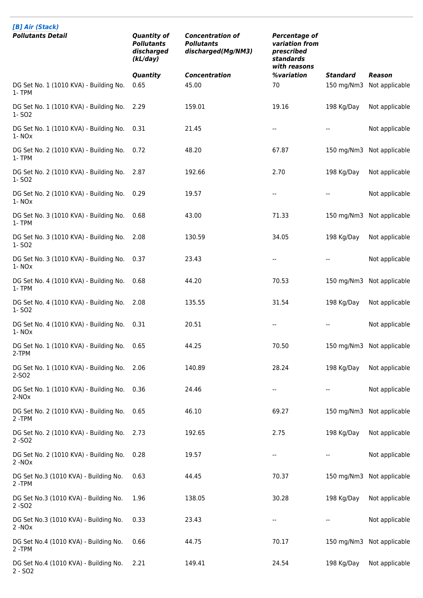| [B] Air (Stack)                                             |                                                                   |                                                                    |                                                                                   |                 |                           |
|-------------------------------------------------------------|-------------------------------------------------------------------|--------------------------------------------------------------------|-----------------------------------------------------------------------------------|-----------------|---------------------------|
| <b>Pollutants Detail</b>                                    | <b>Quantity of</b><br><b>Pollutants</b><br>discharged<br>(kL/day) | <b>Concentration of</b><br><b>Pollutants</b><br>discharged(Mg/NM3) | <b>Percentage of</b><br>variation from<br>prescribed<br>standards<br>with reasons |                 |                           |
|                                                             | Quantity                                                          | <b>Concentration</b>                                               | %variation                                                                        | <b>Standard</b> | Reason                    |
| DG Set No. 1 (1010 KVA) - Building No.<br>1- TPM            | 0.65                                                              | 45.00                                                              | 70                                                                                | 150 mg/Nm3      | Not applicable            |
| DG Set No. 1 (1010 KVA) - Building No.<br>1-S02             | 2.29                                                              | 159.01                                                             | 19.16                                                                             | 198 Kg/Day      | Not applicable            |
| DG Set No. 1 (1010 KVA) - Building No.<br>1-NO <sub>x</sub> | 0.31                                                              | 21.45                                                              | --                                                                                | --              | Not applicable            |
| DG Set No. 2 (1010 KVA) - Building No.<br>1-TPM             | 0.72                                                              | 48.20                                                              | 67.87                                                                             | 150 mg/Nm3      | Not applicable            |
| DG Set No. 2 (1010 KVA) - Building No.<br>1-S02             | 2.87                                                              | 192.66                                                             | 2.70                                                                              | 198 Kg/Day      | Not applicable            |
| DG Set No. 2 (1010 KVA) - Building No.<br>1-NO <sub>x</sub> | 0.29                                                              | 19.57                                                              | $\overline{a}$                                                                    |                 | Not applicable            |
| DG Set No. 3 (1010 KVA) - Building No.<br>1-TPM             | 0.68                                                              | 43.00                                                              | 71.33                                                                             | 150 mg/Nm3      | Not applicable            |
| DG Set No. 3 (1010 KVA) - Building No.<br>1-S02             | 2.08                                                              | 130.59                                                             | 34.05                                                                             | 198 Kg/Day      | Not applicable            |
| DG Set No. 3 (1010 KVA) - Building No.<br>$1 - NOX$         | 0.37                                                              | 23.43                                                              |                                                                                   |                 | Not applicable            |
| DG Set No. 4 (1010 KVA) - Building No.<br>1-TPM             | 0.68                                                              | 44.20                                                              | 70.53                                                                             | 150 mg/Nm3      | Not applicable            |
| DG Set No. 4 (1010 KVA) - Building No.<br>1-S02             | 2.08                                                              | 135.55                                                             | 31.54                                                                             | 198 Kg/Day      | Not applicable            |
| DG Set No. 4 (1010 KVA) - Building No.<br>1-NO <sub>x</sub> | 0.31                                                              | 20.51                                                              | --                                                                                |                 | Not applicable            |
| DG Set No. 1 (1010 KVA) - Building No.<br>2-TPM             | 0.65                                                              | 44.25                                                              | 70.50                                                                             |                 | 150 mg/Nm3 Not applicable |
| DG Set No. 1 (1010 KVA) - Building No.<br>2-SO <sub>2</sub> | 2.06                                                              | 140.89                                                             | 28.24                                                                             | 198 Kg/Day      | Not applicable            |
| DG Set No. 1 (1010 KVA) - Building No.<br>$2-NOx$           | 0.36                                                              | 24.46                                                              |                                                                                   |                 | Not applicable            |
| DG Set No. 2 (1010 KVA) - Building No.<br>2-TPM             | 0.65                                                              | 46.10                                                              | 69.27                                                                             |                 | 150 mg/Nm3 Not applicable |
| DG Set No. 2 (1010 KVA) - Building No.<br>$2 - SO2$         | 2.73                                                              | 192.65                                                             | 2.75                                                                              | 198 Kg/Day      | Not applicable            |
| DG Set No. 2 (1010 KVA) - Building No.<br>$2 - NOx$         | 0.28                                                              | 19.57                                                              |                                                                                   |                 | Not applicable            |
| DG Set No.3 (1010 KVA) - Building No.<br>2-TPM              | 0.63                                                              | 44.45                                                              | 70.37                                                                             | 150 mg/Nm3      | Not applicable            |
| DG Set No.3 (1010 KVA) - Building No.<br>$2 - SO2$          | 1.96                                                              | 138.05                                                             | 30.28                                                                             | 198 Kg/Day      | Not applicable            |
| DG Set No.3 (1010 KVA) - Building No.<br>$2 - NOx$          | 0.33                                                              | 23.43                                                              |                                                                                   |                 | Not applicable            |
| DG Set No.4 (1010 KVA) - Building No.<br>2-TPM              | 0.66                                                              | 44.75                                                              | 70.17                                                                             | 150 mg/Nm3      | Not applicable            |
| DG Set No.4 (1010 KVA) - Building No.<br>$2 - SO2$          | 2.21                                                              | 149.41                                                             | 24.54                                                                             | 198 Kg/Day      | Not applicable            |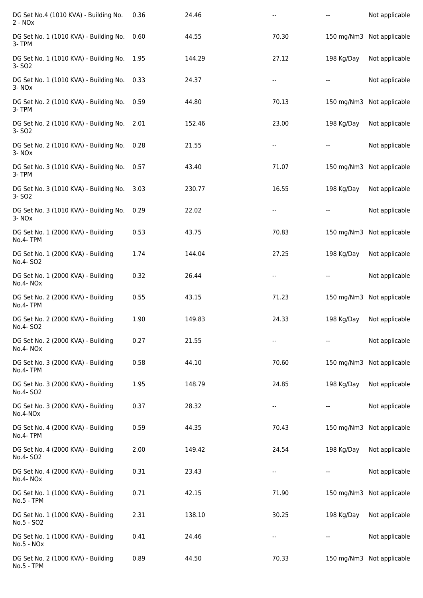| DG Set No.4 (1010 KVA) - Building No.<br>$2 - NOX$           | 0.36 | 24.46  | $\overline{\phantom{a}}$ |            | Not applicable            |
|--------------------------------------------------------------|------|--------|--------------------------|------------|---------------------------|
| DG Set No. 1 (1010 KVA) - Building No.<br>3-TPM              | 0.60 | 44.55  | 70.30                    |            | 150 mg/Nm3 Not applicable |
| DG Set No. 1 (1010 KVA) - Building No.<br>3- SO <sub>2</sub> | 1.95 | 144.29 | 27.12                    | 198 Kg/Day | Not applicable            |
| DG Set No. 1 (1010 KVA) - Building No.<br>3-NOx              | 0.33 | 24.37  |                          |            | Not applicable            |
| DG Set No. 2 (1010 KVA) - Building No.<br>3-TPM              | 0.59 | 44.80  | 70.13                    | 150 mg/Nm3 | Not applicable            |
| DG Set No. 2 (1010 KVA) - Building No.<br>3- SO <sub>2</sub> | 2.01 | 152.46 | 23.00                    | 198 Kg/Day | Not applicable            |
| DG Set No. 2 (1010 KVA) - Building No.<br>3-NO <sub>x</sub>  | 0.28 | 21.55  | --                       |            | Not applicable            |
| DG Set No. 3 (1010 KVA) - Building No.<br>3-TPM              | 0.57 | 43.40  | 71.07                    | 150 mg/Nm3 | Not applicable            |
| DG Set No. 3 (1010 KVA) - Building No.<br>3- SO <sub>2</sub> | 3.03 | 230.77 | 16.55                    | 198 Kg/Day | Not applicable            |
| DG Set No. 3 (1010 KVA) - Building No.<br>3-NO <sub>x</sub>  | 0.29 | 22.02  |                          |            | Not applicable            |
| DG Set No. 1 (2000 KVA) - Building<br>No.4-TPM               | 0.53 | 43.75  | 70.83                    |            | 150 mg/Nm3 Not applicable |
| DG Set No. 1 (2000 KVA) - Building<br>No.4- SO2              | 1.74 | 144.04 | 27.25                    | 198 Kg/Day | Not applicable            |
| DG Set No. 1 (2000 KVA) - Building<br>No.4-NOx               | 0.32 | 26.44  |                          |            | Not applicable            |
| DG Set No. 2 (2000 KVA) - Building<br>No.4-TPM               | 0.55 | 43.15  | 71.23                    | 150 mg/Nm3 | Not applicable            |
| DG Set No. 2 (2000 KVA) - Building<br>No.4- SO2              | 1.90 | 149.83 | 24.33                    | 198 Kg/Day | Not applicable            |
| DG Set No. 2 (2000 KVA) - Building<br>No.4-NOx               | 0.27 | 21.55  | $\overline{\phantom{a}}$ |            | Not applicable            |
| DG Set No. 3 (2000 KVA) - Building<br>No.4-TPM               | 0.58 | 44.10  | 70.60                    | 150 mg/Nm3 | Not applicable            |
| DG Set No. 3 (2000 KVA) - Building<br>No.4- SO2              | 1.95 | 148.79 | 24.85                    | 198 Kg/Day | Not applicable            |
| DG Set No. 3 (2000 KVA) - Building<br>No.4-NOx               | 0.37 | 28.32  | --                       |            | Not applicable            |
| DG Set No. 4 (2000 KVA) - Building<br>No.4-TPM               | 0.59 | 44.35  | 70.43                    |            | 150 mg/Nm3 Not applicable |
| DG Set No. 4 (2000 KVA) - Building<br>No.4- SO2              | 2.00 | 149.42 | 24.54                    | 198 Kg/Day | Not applicable            |
| DG Set No. 4 (2000 KVA) - Building<br>No.4-NOx               | 0.31 | 23.43  |                          |            | Not applicable            |
| DG Set No. 1 (1000 KVA) - Building<br>No.5 - TPM             | 0.71 | 42.15  | 71.90                    | 150 mg/Nm3 | Not applicable            |
| DG Set No. 1 (1000 KVA) - Building<br>No.5 - SO2             | 2.31 | 138.10 | 30.25                    | 198 Kg/Day | Not applicable            |
| DG Set No. 1 (1000 KVA) - Building<br>$No.5 - NOx$           | 0.41 | 24.46  |                          |            | Not applicable            |
| DG Set No. 2 (1000 KVA) - Building<br>No.5 - TPM             | 0.89 | 44.50  | 70.33                    |            | 150 mg/Nm3 Not applicable |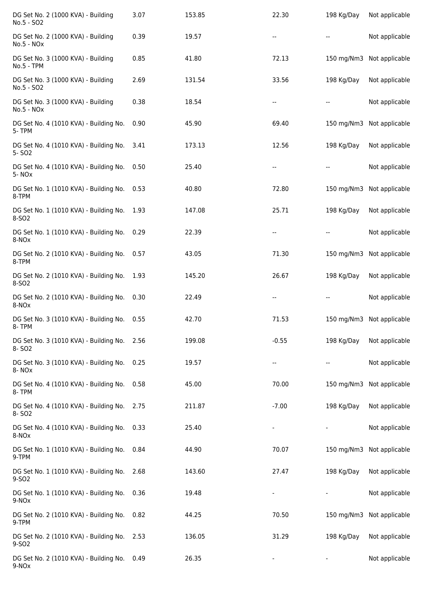| DG Set No. 2 (1000 KVA) - Building<br>No.5 - SO2            | 3.07 | 153.85 | 22.30   | 198 Kg/Day | Not applicable            |
|-------------------------------------------------------------|------|--------|---------|------------|---------------------------|
| DG Set No. 2 (1000 KVA) - Building<br>$No.5 - NOx$          | 0.39 | 19.57  |         |            | Not applicable            |
| DG Set No. 3 (1000 KVA) - Building<br>No.5 - TPM            | 0.85 | 41.80  | 72.13   | 150 mg/Nm3 | Not applicable            |
| DG Set No. 3 (1000 KVA) - Building<br>No.5 - SO2            | 2.69 | 131.54 | 33.56   | 198 Kg/Day | Not applicable            |
| DG Set No. 3 (1000 KVA) - Building<br>No.5 - NOx            | 0.38 | 18.54  |         |            | Not applicable            |
| DG Set No. 4 (1010 KVA) - Building No.<br>5-TPM             | 0.90 | 45.90  | 69.40   | 150 mg/Nm3 | Not applicable            |
| DG Set No. 4 (1010 KVA) - Building No.<br>5-SO <sub>2</sub> | 3.41 | 173.13 | 12.56   | 198 Kg/Day | Not applicable            |
| DG Set No. 4 (1010 KVA) - Building No.<br>5-NO <sub>x</sub> | 0.50 | 25.40  |         |            | Not applicable            |
| DG Set No. 1 (1010 KVA) - Building No.<br>8-TPM             | 0.53 | 40.80  | 72.80   | 150 mg/Nm3 | Not applicable            |
| DG Set No. 1 (1010 KVA) - Building No.<br>8-SO2             | 1.93 | 147.08 | 25.71   | 198 Kg/Day | Not applicable            |
| DG Set No. 1 (1010 KVA) - Building No.<br>8-NO <sub>x</sub> | 0.29 | 22.39  |         |            | Not applicable            |
| DG Set No. 2 (1010 KVA) - Building No.<br>8-TPM             | 0.57 | 43.05  | 71.30   | 150 mg/Nm3 | Not applicable            |
| DG Set No. 2 (1010 KVA) - Building No.<br>8-SO <sub>2</sub> | 1.93 | 145.20 | 26.67   | 198 Kg/Day | Not applicable            |
| DG Set No. 2 (1010 KVA) - Building No.<br>8-NO <sub>x</sub> | 0.30 | 22.49  |         |            | Not applicable            |
| DG Set No. 3 (1010 KVA) - Building No.<br>8-TPM             | 0.55 | 42.70  | 71.53   |            | 150 mg/Nm3 Not applicable |
| DG Set No. 3 (1010 KVA) - Building No.<br>8-SO <sub>2</sub> | 2.56 | 199.08 | $-0.55$ | 198 Kg/Day | Not applicable            |
| DG Set No. 3 (1010 KVA) - Building No.<br>8-NO <sub>x</sub> | 0.25 | 19.57  | --      |            | Not applicable            |
| DG Set No. 4 (1010 KVA) - Building No.<br>8-TPM             | 0.58 | 45.00  | 70.00   | 150 mg/Nm3 | Not applicable            |
| DG Set No. 4 (1010 KVA) - Building No.<br>8-SO <sub>2</sub> | 2.75 | 211.87 | $-7.00$ | 198 Kg/Day | Not applicable            |
| DG Set No. 4 (1010 KVA) - Building No.<br>8-NO <sub>x</sub> | 0.33 | 25.40  |         |            | Not applicable            |
| DG Set No. 1 (1010 KVA) - Building No.<br>9-TPM             | 0.84 | 44.90  | 70.07   |            | 150 mg/Nm3 Not applicable |
| DG Set No. 1 (1010 KVA) - Building No.<br>9-SO <sub>2</sub> | 2.68 | 143.60 | 27.47   | 198 Kg/Day | Not applicable            |
| DG Set No. 1 (1010 KVA) - Building No.<br>9-NO <sub>x</sub> | 0.36 | 19.48  |         |            | Not applicable            |
| DG Set No. 2 (1010 KVA) - Building No.<br>9-TPM             | 0.82 | 44.25  | 70.50   | 150 mg/Nm3 | Not applicable            |
| DG Set No. 2 (1010 KVA) - Building No.<br>9-SO <sub>2</sub> | 2.53 | 136.05 | 31.29   | 198 Kg/Day | Not applicable            |
| DG Set No. 2 (1010 KVA) - Building No.<br>9-NO <sub>x</sub> | 0.49 | 26.35  |         |            | Not applicable            |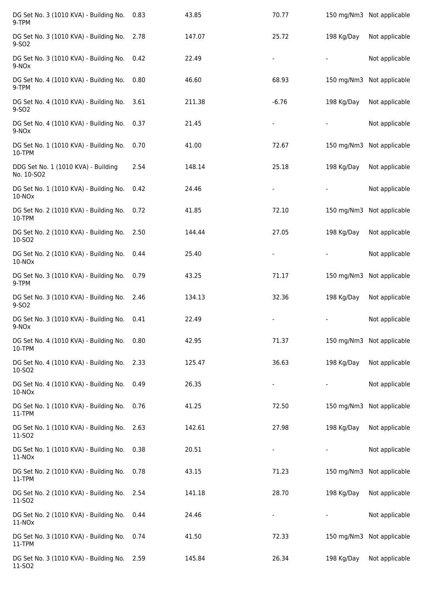| DG Set No. 3 (1010 KVA) - Building No.<br>9-TPM              | 0.83 | 43.85  | 70.77   |            | 150 mg/Nm3 Not applicable |
|--------------------------------------------------------------|------|--------|---------|------------|---------------------------|
| DG Set No. 3 (1010 KVA) - Building No.<br>9-SO <sub>2</sub>  | 2.78 | 147.07 | 25.72   | 198 Kg/Day | Not applicable            |
| DG Set No. 3 (1010 KVA) - Building No.<br>9-NO <sub>x</sub>  | 0.42 | 22.49  |         |            | Not applicable            |
| DG Set No. 4 (1010 KVA) - Building No.<br>9-TPM              | 0.80 | 46.60  | 68.93   |            | 150 mg/Nm3 Not applicable |
| DG Set No. 4 (1010 KVA) - Building No.<br>9-SO <sub>2</sub>  | 3.61 | 211.38 | $-6.76$ | 198 Kg/Day | Not applicable            |
| DG Set No. 4 (1010 KVA) - Building No.<br>9-NO <sub>x</sub>  | 0.37 | 21.45  |         |            | Not applicable            |
| DG Set No. 1 (1010 KVA) - Building No.<br>10-TPM             | 0.70 | 41.00  | 72.67   |            | 150 mg/Nm3 Not applicable |
| DDG Set No. 1 (1010 KVA) - Building<br>No. 10-SO2            | 2.54 | 148.14 | 25.18   | 198 Kg/Day | Not applicable            |
| DG Set No. 1 (1010 KVA) - Building No.<br>$10-NOx$           | 0.42 | 24.46  |         |            | Not applicable            |
| DG Set No. 2 (1010 KVA) - Building No.<br>10-TPM             | 0.72 | 41.85  | 72.10   |            | 150 mg/Nm3 Not applicable |
| DG Set No. 2 (1010 KVA) - Building No.<br>10-SO2             | 2.50 | 144.44 | 27.05   | 198 Kg/Day | Not applicable            |
| DG Set No. 2 (1010 KVA) - Building No.<br>$10-NOx$           | 0.44 | 25.40  |         |            | Not applicable            |
| DG Set No. 3 (1010 KVA) - Building No.<br>9-TPM              | 0.79 | 43.25  | 71.17   |            | 150 mg/Nm3 Not applicable |
| DG Set No. 3 (1010 KVA) - Building No.<br>9-SO <sub>2</sub>  | 2.46 | 134.13 | 32.36   | 198 Kg/Day | Not applicable            |
| DG Set No. 3 (1010 KVA) - Building No.<br>9-NO <sub>x</sub>  | 0.41 | 22.49  |         |            | Not applicable            |
| DG Set No. 4 (1010 KVA) - Building No.<br>10-TPM             | 0.80 | 42.95  | 71.37   |            | 150 mg/Nm3 Not applicable |
| DG Set No. 4 (1010 KVA) - Building No.<br>10-SO2             | 2.33 | 125.47 | 36.63   | 198 Kg/Day | Not applicable            |
| DG Set No. 4 (1010 KVA) - Building No.<br>$10-NOx$           | 0.49 | 26.35  |         |            | Not applicable            |
| DG Set No. 1 (1010 KVA) - Building No.<br>11-TPM             | 0.76 | 41.25  | 72.50   |            | 150 mg/Nm3 Not applicable |
| DG Set No. 1 (1010 KVA) - Building No.<br>11-SO <sub>2</sub> | 2.63 | 142.61 | 27.98   | 198 Kg/Day | Not applicable            |
| DG Set No. 1 (1010 KVA) - Building No.<br>11-NOx             | 0.38 | 20.51  |         |            | Not applicable            |
| DG Set No. 2 (1010 KVA) - Building No.<br>11-TPM             | 0.78 | 43.15  | 71.23   |            | 150 mg/Nm3 Not applicable |
| DG Set No. 2 (1010 KVA) - Building No.<br>11-SO2             | 2.54 | 141.18 | 28.70   | 198 Kg/Day | Not applicable            |
| DG Set No. 2 (1010 KVA) - Building No.<br>11-NOx             | 0.44 | 24.46  |         |            | Not applicable            |
| DG Set No. 3 (1010 KVA) - Building No.<br>11-TPM             | 0.74 | 41.50  | 72.33   |            | 150 mg/Nm3 Not applicable |
| DG Set No. 3 (1010 KVA) - Building No. 2.59<br>11-SO2        |      | 145.84 | 26.34   | 198 Kg/Day | Not applicable            |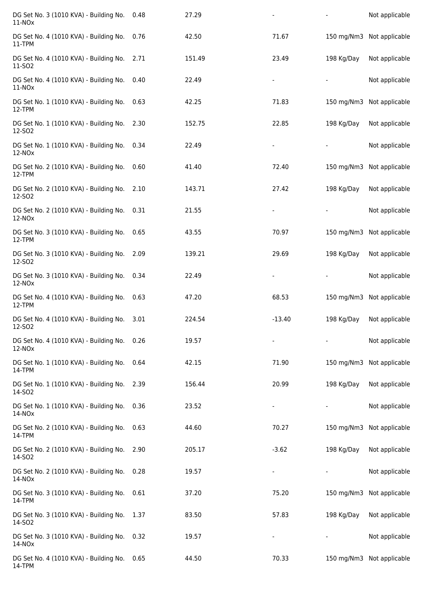| DG Set No. 3 (1010 KVA) - Building No.<br>11-NO <sub>x</sub> | 0.48 | 27.29  |          |            | Not applicable            |
|--------------------------------------------------------------|------|--------|----------|------------|---------------------------|
| DG Set No. 4 (1010 KVA) - Building No.<br>11-TPM             | 0.76 | 42.50  | 71.67    |            | 150 mg/Nm3 Not applicable |
| DG Set No. 4 (1010 KVA) - Building No.<br>11-SO <sub>2</sub> | 2.71 | 151.49 | 23.49    | 198 Kg/Day | Not applicable            |
| DG Set No. 4 (1010 KVA) - Building No.<br>11-NO <sub>x</sub> | 0.40 | 22.49  |          |            | Not applicable            |
| DG Set No. 1 (1010 KVA) - Building No.<br>12-TPM             | 0.63 | 42.25  | 71.83    | 150 mg/Nm3 | Not applicable            |
| DG Set No. 1 (1010 KVA) - Building No.<br>12-SO <sub>2</sub> | 2.30 | 152.75 | 22.85    | 198 Kg/Day | Not applicable            |
| DG Set No. 1 (1010 KVA) - Building No.<br>$12-NOx$           | 0.34 | 22.49  |          |            | Not applicable            |
| DG Set No. 2 (1010 KVA) - Building No.<br>12-TPM             | 0.60 | 41.40  | 72.40    | 150 mg/Nm3 | Not applicable            |
| DG Set No. 2 (1010 KVA) - Building No.<br>12-SO2             | 2.10 | 143.71 | 27.42    | 198 Kg/Day | Not applicable            |
| DG Set No. 2 (1010 KVA) - Building No.<br>12-NO <sub>x</sub> | 0.31 | 21.55  |          |            | Not applicable            |
| DG Set No. 3 (1010 KVA) - Building No.<br>12-TPM             | 0.65 | 43.55  | 70.97    |            | 150 mg/Nm3 Not applicable |
| DG Set No. 3 (1010 KVA) - Building No.<br>12-SO <sub>2</sub> | 2.09 | 139.21 | 29.69    | 198 Kg/Day | Not applicable            |
| DG Set No. 3 (1010 KVA) - Building No.<br>12-NOx             | 0.34 | 22.49  |          |            | Not applicable            |
| DG Set No. 4 (1010 KVA) - Building No.<br>12-TPM             | 0.63 | 47.20  | 68.53    | 150 mg/Nm3 | Not applicable            |
| DG Set No. 4 (1010 KVA) - Building No.<br>12-SO <sub>2</sub> | 3.01 | 224.54 | $-13.40$ | 198 Kg/Day | Not applicable            |
| DG Set No. 4 (1010 KVA) - Building No.<br>12-NOx             | 0.26 | 19.57  |          |            | Not applicable            |
| DG Set No. 1 (1010 KVA) - Building No.<br>14-TPM             | 0.64 | 42.15  | 71.90    |            | 150 mg/Nm3 Not applicable |
| DG Set No. 1 (1010 KVA) - Building No.<br>14-SO <sub>2</sub> | 2.39 | 156.44 | 20.99    | 198 Kg/Day | Not applicable            |
| DG Set No. 1 (1010 KVA) - Building No.<br>$14-NOx$           | 0.36 | 23.52  |          |            | Not applicable            |
| DG Set No. 2 (1010 KVA) - Building No.<br>14-TPM             | 0.63 | 44.60  | 70.27    |            | 150 mg/Nm3 Not applicable |
| DG Set No. 2 (1010 KVA) - Building No.<br>14-SO2             | 2.90 | 205.17 | $-3.62$  | 198 Kg/Day | Not applicable            |
| DG Set No. 2 (1010 KVA) - Building No.<br>14-NO <sub>x</sub> | 0.28 | 19.57  |          |            | Not applicable            |
| DG Set No. 3 (1010 KVA) - Building No.<br>14-TPM             | 0.61 | 37.20  | 75.20    | 150 mg/Nm3 | Not applicable            |
| DG Set No. 3 (1010 KVA) - Building No.<br>14-SO <sub>2</sub> | 1.37 | 83.50  | 57.83    | 198 Kg/Day | Not applicable            |
| DG Set No. 3 (1010 KVA) - Building No.<br>14-NOx             | 0.32 | 19.57  |          |            | Not applicable            |
| DG Set No. 4 (1010 KVA) - Building No.<br>14-TPM             | 0.65 | 44.50  | 70.33    |            | 150 mg/Nm3 Not applicable |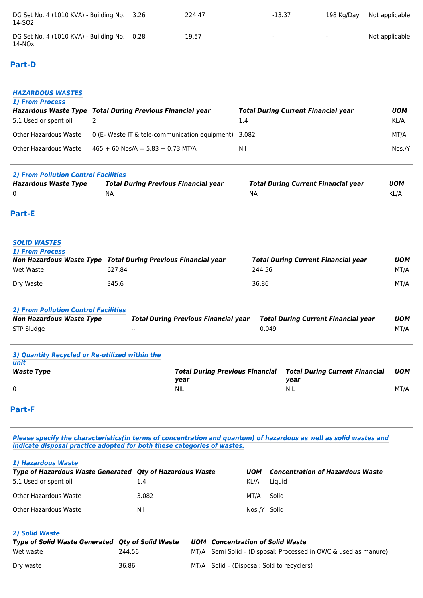| DG Set No. 4 (1010 KVA) - Building No. 3.26<br>14-SO2     | 224.47 | $-13.37$                 | 198 Ka/Dav               | Not applicable |
|-----------------------------------------------------------|--------|--------------------------|--------------------------|----------------|
| DG Set No. 4 (1010 KVA) - Building No. 0.28<br>$14 - NOx$ | 19.57  | $\overline{\phantom{a}}$ | $\overline{\phantom{0}}$ | Not applicable |

## **Part-D**

| <b>HAZARDOUS WASTES</b><br>1) From Process<br><b>Hazardous Waste Type</b><br>5.1 Used or spent oil | 2                                                    | <b>Total During Previous Financial year</b>                   | 1.4       |        | <b>Total During Current Financial year</b>    | <b>UOM</b><br>KL/A |
|----------------------------------------------------------------------------------------------------|------------------------------------------------------|---------------------------------------------------------------|-----------|--------|-----------------------------------------------|--------------------|
| Other Hazardous Waste                                                                              | 0 (E- Waste IT & tele-communication equipment) 3.082 |                                                               |           |        |                                               |                    |
| <b>Other Hazardous Waste</b>                                                                       | $465 + 60$ Nos/A = 5.83 + 0.73 MT/A                  |                                                               |           | Nil    |                                               |                    |
| <b>2) From Pollution Control Facilities</b>                                                        |                                                      |                                                               |           |        |                                               |                    |
| <b>Hazardous Waste Type</b><br>0                                                                   | <b>NA</b>                                            | <b>Total During Previous Financial year</b>                   | <b>NA</b> |        | <b>Total During Current Financial year</b>    | <b>UOM</b><br>KL/A |
| <b>Part-E</b>                                                                                      |                                                      |                                                               |           |        |                                               |                    |
| <b>SOLID WASTES</b><br><b>1) From Process</b>                                                      |                                                      | Non Hazardous Waste Type Total During Previous Financial year |           |        | <b>Total During Current Financial year</b>    | <b>UOM</b>         |
| Wet Waste                                                                                          | 627.84                                               |                                                               |           | 244.56 |                                               | MT/A               |
| Dry Waste                                                                                          | 345.6                                                |                                                               | 36.86     |        |                                               | MT/A               |
| <b>2) From Pollution Control Facilities</b><br><b>Non Hazardous Waste Type</b><br>STP Sludge       |                                                      | <b>Total During Previous Financial year</b>                   |           | 0.049  | <b>Total During Current Financial year</b>    | <b>UOM</b><br>MT/A |
| 3) Quantity Recycled or Re-utilized within the<br>unit                                             |                                                      |                                                               |           |        |                                               |                    |
| <b>Waste Type</b>                                                                                  |                                                      | <b>Total During Previous Financial</b><br>year                |           |        | <b>Total During Current Financial</b><br>year | <b>UOM</b>         |
| 0                                                                                                  |                                                      | <b>NIL</b>                                                    |           |        | <b>NIL</b>                                    | MT/A               |
| <b>Part-F</b>                                                                                      |                                                      |                                                               |           |        |                                               |                    |
|                                                                                                    |                                                      |                                                               |           |        |                                               |                    |

*Please specify the characteristics(in terms of concentration and quantum) of hazardous as well as solid wastes and indicate disposal practice adopted for both these categories of wastes.*

#### *1) Hazardous Waste*

| <b>Type of Hazardous Waste Generated Oty of Hazardous Waste</b> |       | <b>UOM</b>   | <b>Concentration of Hazardous Waste</b> |
|-----------------------------------------------------------------|-------|--------------|-----------------------------------------|
| 5.1 Used or spent oil                                           | 1.4   | KL/A         | Liauid                                  |
| Other Hazardous Waste                                           | 3.082 | MT/A         | Solid                                   |
| Other Hazardous Waste                                           | Nil   | Nos./Y Solid |                                         |

## *2) Solid Waste*

| Type of Solid Waste Generated Oty of Solid Waste |        | <b>UOM</b> Concentration of Solid Waste                         |  |  |
|--------------------------------------------------|--------|-----------------------------------------------------------------|--|--|
| Wet waste                                        | 244.56 | MT/A Semi Solid - (Disposal: Processed in OWC & used as manure) |  |  |
| Drv waste                                        | 36.86  | MT/A Solid – (Disposal: Sold to recyclers)                      |  |  |